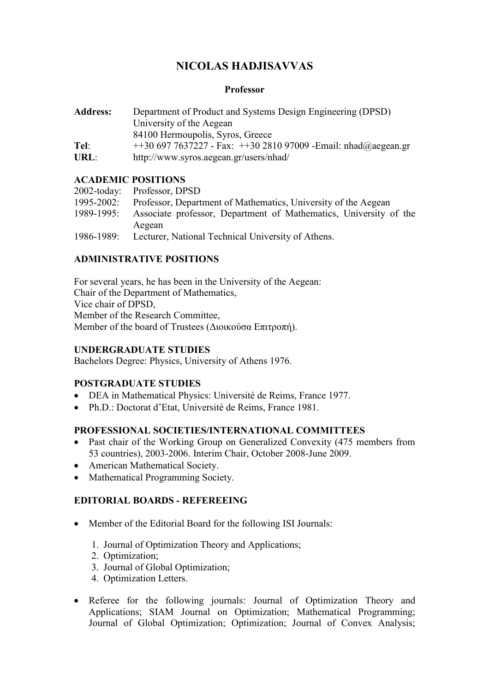# **NICOLAS HADJISAVVAS**

#### **Professor**

| <b>Address:</b> | Department of Product and Systems Design Engineering (DPSD)  |
|-----------------|--------------------------------------------------------------|
|                 | University of the Aegean                                     |
|                 | 84100 Hermoupolis, Syros, Greece                             |
| $Tel^-$         | $+306977637227$ - Fax: $+30281097009$ -Email: nhad@aegean.gr |
| URL:            | http://www.syros.aegean.gr/users/nhad/                       |

#### **ACADEMIC POSITIONS**

|            | 2002-today: Professor, DPSD                                               |
|------------|---------------------------------------------------------------------------|
|            | 1995-2002: Professor, Department of Mathematics, University of the Aegean |
| 1989-1995: | Associate professor, Department of Mathematics, University of the         |
|            | Aegean                                                                    |
| 1986-1989: | Lecturer, National Technical University of Athens.                        |

### **ADMINISTRATIVE POSITIONS**

For several years, he has been in the University of the Aegean: Chair of the Department of Mathematics, Vice chair of DPSD, Member of the Research Committee, Member of the board of Trustees (Διοικούσα Επιτροπή).

#### **UNDERGRADUATE STUDIES**

Bachelors Degree: Physics, University of Athens 1976.

#### **POSTGRADUATE STUDIES**

- DEA in Mathematical Physics: Université de Reims, France 1977.
- Ph.D.: Doctorat d'Etat, Université de Reims, France 1981.

#### **PROFESSIONAL SOCIETIES/INTERNATIONAL COMMITTEES**

- Past chair of the Working Group on Generalized Convexity (475 members from 53 countries), 2003-2006. Interim Chair, October 2008-June 2009.
- American Mathematical Society.
- Mathematical Programming Society.

# **EDITORIAL BOARDS - REFEREEING**

- Member of the Editorial Board for the following ISI Journals:
	- 1. Journal of Optimization Theory and Applications;
	- 2. Optimization;
	- 3. Journal of Global Optimization;
	- 4. Optimization Letters.
- Referee for the following journals: Journal of Optimization Theory and Applications; SIAM Journal on Optimization; Mathematical Programming; Journal of Global Optimization; Optimization; Journal of Convex Analysis;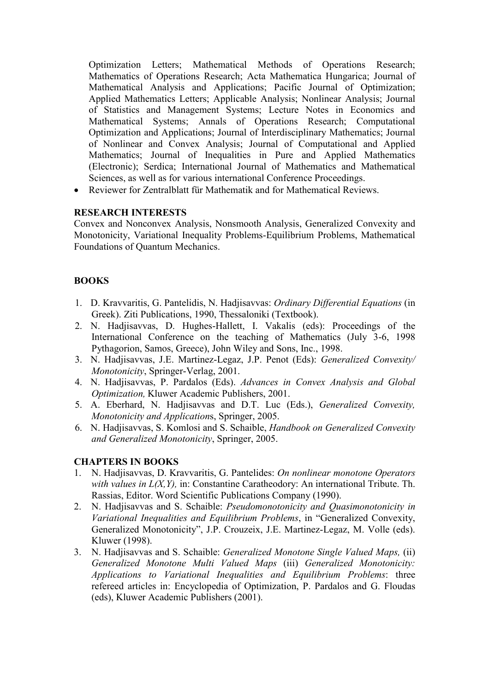Optimization Letters; Mathematical Methods of Operations Research; Mathematics of Operations Research; Acta Mathematica Hungarica; Journal of Mathematical Analysis and Applications; Pacific Journal of Optimization; Applied Mathematics Letters; Applicable Analysis; Nonlinear Analysis; Journal of Statistics and Management Systems; Lecture Notes in Economics and Mathematical Systems; Annals of Operations Research; Computational Optimization and Applications; Journal of Interdisciplinary Mathematics; Journal of Nonlinear and Convex Analysis; Journal of Computational and Applied Mathematics; Journal of Inequalities in Pure and Applied Mathematics (Electronic); Serdica; International Journal of Mathematics and Mathematical Sciences, as well as for various international Conference Proceedings.

• Reviewer for Zentralblatt für Mathematik and for Mathematical Reviews.

### **RESEARCH INTERESTS**

Convex and Nonconvex Analysis, Nonsmooth Analysis, Generalized Convexity and Monotonicity, Variational Inequality Problems-Equilibrium Problems, Mathematical Foundations of Quantum Mechanics.

### **BOOKS**

- 1. D. Kravvaritis, G. Pantelidis, N. Hadjisavvas: *Ordinary Differential Equations* (in Greek). Ziti Publications, 1990, Thessaloniki (Textbook).
- 2. N. Hadjisavvas, D. Hughes-Hallett, I. Vakalis (eds): Proceedings of the International Conference on the teaching of Mathematics (July 3-6, 1998 Pythagorion, Samos, Greece), John Wiley and Sons, Inc., 1998.
- 3. N. Hadjisavvas, J.E. Martinez-Legaz, J.P. Penot (Eds): *Generalized Convexity/ Monotonicity*, Springer-Verlag, 2001.
- 4. N. Hadjisavvas, P. Pardalos (Eds). *Advances in Convex Analysis and Global Optimization,* Kluwer Academic Publishers, 2001.
- 5. A. Eberhard, N. Hadjisavvas and D.T. Luc (Eds.), *Generalized Convexity, Monotonicity and Application*s, Springer, 2005.
- 6. N. Hadjisavvas, S. Komlosi and S. Schaible, *Handbook on Generalized Convexity and Generalized Monotonicity*, Springer, 2005.

# **CHAPTERS IN BOOKS**

- 1. N. Hadjisavvas, D. Kravvaritis, G. Pantelides: *On nonlinear monotone Operators with values in L(X,Y),* in: Constantine Caratheodory: An international Tribute. Th. Rassias, Editor. Word Scientific Publications Company (1990).
- 2. N. Hadjisavvas and S. Schaible: *Pseudomonotonicity and Quasimonotonicity in Variational Inequalities and Equilibrium Problems*, in "Generalized Convexity, Generalized Monotonicity", J.P. Crouzeix, J.E. Martinez-Legaz, M. Volle (eds). Kluwer (1998).
- 3. N. Hadjisavvas and S. Schaible: *Generalized Monotone Single Valued Maps,* (ii) *Generalized Monotone Multi Valued Maps* (iii) *Generalized Monotonicity: Applications to Variational Inequalities and Equilibrium Problems*: three refereed articles in: Encyclopedia of Optimization, P. Pardalos and G. Floudas (eds), Kluwer Academic Publishers (2001).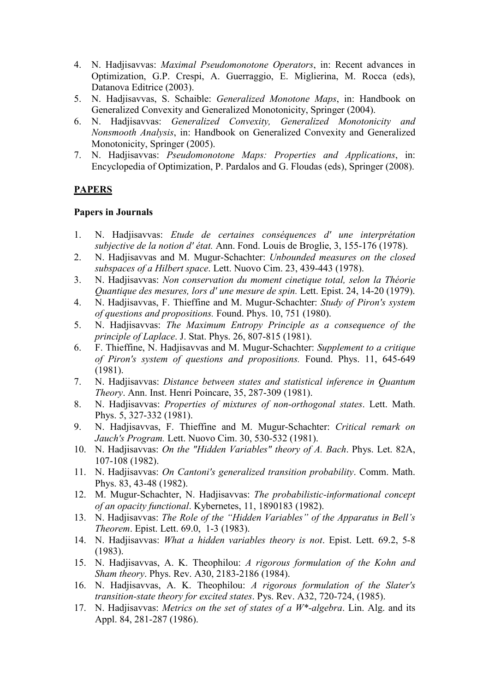- 4. N. Hadjisavvas: *Maximal Pseudomonotone Operators*, in: Recent advances in Optimization, G.P. Crespi, A. Guerraggio, E. Miglierina, M. Rocca (eds), Datanova Editrice (2003).
- 5. N. Hadjisavvas, S. Schaible: *Generalized Monotone Maps*, in: Handbook on Generalized Convexity and Generalized Monotonicity, Springer (2004).
- 6. N. Hadjisavvas: *Generalized Convexity, Generalized Monotonicity and Nonsmooth Analysis*, in: Handbook on Generalized Convexity and Generalized Monotonicity, Springer (2005).
- 7. N. Hadjisavvas: *Pseudomonotone Maps: Properties and Applications*, in: Encyclopedia of Optimization, P. Pardalos and G. Floudas (eds), Springer (2008).

#### **PAPERS**

#### **Papers in Journals**

- 1. N. Hadjisavvas: *Etude de certaines conséquences d' une interprétation subjective de la notion d' état.* Ann. Fond. Louis de Broglie, 3, 155-176 (1978).
- 2. N. Hadjisavvas and M. Mugur-Schachter: *Unbounded measures on the closed subspaces of a Hilbert space*. Lett. Nuovo Cim. 23, 439-443 (1978).
- 3. N. Hadjisavvas: *Non conservation du moment cinetique total, selon la Théorie Quantique des mesures, lors d' une mesure de spin.* Lett. Epist. 24, 14-20 (1979).
- 4. N. Hadjisavvas, F. Thieffine and M. Mugur-Schachter: *Study of Piron's system of questions and propositions.* Found. Phys. 10, 751 (1980).
- 5. N. Hadjisavvas: *The Maximum Entropy Principle as a consequence of the principle of Laplace*. J. Stat. Phys. 26, 807-815 (1981).
- 6. F. Thieffine, N. Hadjisavvas and M. Mugur-Schachter: *Supplement to a critique of Piron's system of questions and propositions.* Found. Phys. 11, 645-649 (1981).
- 7. N. Hadjisavvas: *Distance between states and statistical inference in Quantum Theory*. Ann. Inst. Henri Poincare, 35, 287-309 (1981).
- 8. N. Hadjisavvas: *Properties of mixtures of non-orthogonal states*. Lett. Math. Phys. 5, 327-332 (1981).
- 9. N. Hadjisavvas, F. Thieffine and M. Mugur-Schachter: *Critical remark on Jauch's Program.* Lett. Nuovo Cim. 30, 530-532 (1981).
- 10. N. Hadjisavvas: *On the "Hidden Variables" theory of A. Bach*. Phys. Let. 82A, 107-108 (1982).
- 11. N. Hadjisavvas: *On Cantoni's generalized transition probability*. Comm. Math. Phys. 83, 43-48 (1982).
- 12. M. Mugur-Schachter, N. Hadjisavvas: *The probabilistic-informational concept of an opacity functional*. Kybernetes, 11, 1890183 (1982).
- 13. N. Hadjisavvas: *The Role of the "Hidden Variables" of the Apparatus in Bell's Theorem*. Epist. Lett. 69.0, 1-3 (1983).
- 14. N. Hadjisavvas: *What a hidden variables theory is not*. Epist. Lett. 69.2, 5-8 (1983).
- 15. N. Hadjisavvas, A. K. Theophilou: *A rigorous formulation of the Kohn and Sham theory*. Phys. Rev. A30, 2183-2186 (1984).
- 16. N. Hadjisavvas, A. K. Theophilou: *A rigorous formulation of the Slater's transition-state theory for excited states*. Pys. Rev. A32, 720-724, (1985).
- 17. N. Hadjisavvas: *Metrics on the set of states of a W\*-algebra*. Lin. Alg. and its Appl. 84, 281-287 (1986).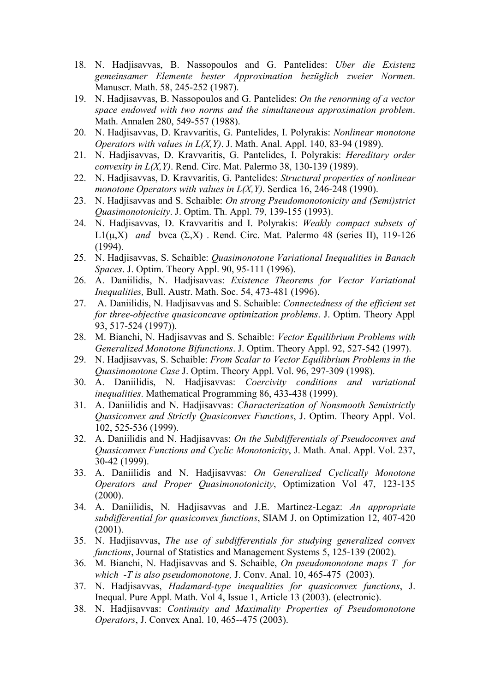- 18. N. Hadjisavvas, B. Nassopoulos and G. Pantelides: *Uber die Existenz gemeinsamer Elemente bester Approximation bezüglich zweier Normen*. Manuscr. Math. 58, 245-252 (1987).
- 19. N. Hadjisavvas, B. Nassopoulos and G. Pantelides: *On the renorming of a vector space endowed with two norms and the simultaneous approximation problem*. Math. Annalen 280, 549-557 (1988).
- 20. N. Hadjisavvas, D. Kravvaritis, G. Pantelides, I. Polyrakis: *Nonlinear monotone Operators with values in L(X,Y)*. J. Math. Anal. Appl. 140, 83-94 (1989).
- 21. N. Hadjisavvas, D. Kravvaritis, G. Pantelides, I. Polyrakis: *Hereditary order convexity in L(X,Y)*. Rend. Circ. Mat. Palermo 38, 130-139 (1989).
- 22. N. Hadjisavvas, D. Kravvaritis, G. Pantelides: *Structural properties of nonlinear monotone Operators with values in L(X,Y)*. Serdica 16, 246-248 (1990).
- 23. N. Hadjisavvas and S. Schaible: *On strong Pseudomonotonicity and (Semi)strict Quasimonotonicity*. J. Optim. Th. Appl. 79, 139-155 (1993).
- 24. N. Hadjisavvas, D. Kravvaritis and I. Polyrakis: *Weakly compact subsets of*  L1( $\mu$ ,X) *and* bvca ( $\Sigma$ ,X). Rend. Circ. Mat. Palermo 48 (series II), 119-126 (1994).
- 25. N. Hadjisavvas, S. Schaible: *Quasimonotone Variational Inequalities in Banach Spaces*. J. Optim. Theory Appl. 90, 95-111 (1996).
- 26. A. Daniilidis, N. Hadjisavvas: *Existence Theorems for Vector Variational Inequalities,* Bull. Austr. Math. Soc. 54, 473-481 (1996).
- 27. A. Daniilidis, N. Hadjisavvas and S. Schaible: *Connectedness of the efficient set for three-objective quasiconcave optimization problems*. J. Optim. Theory Appl 93, 517-524 (1997)).
- 28. M. Bianchi, N. Hadjisavvas and S. Schaible: *Vector Equilibrium Problems with Generalized Monotone Bifunctions*. J. Optim. Theory Appl. 92, 527-542 (1997).
- 29. N. Hadjisavvas, S. Schaible: *From Scalar to Vector Equilibrium Problems in the Quasimonotone Case* J. Optim. Theory Appl. Vol. 96, 297-309 (1998).
- 30. A. Daniilidis, N. Hadjisavvas: *Coercivity conditions and variational inequalities*. Mathematical Programming 86, 433-438 (1999).
- 31. A. Daniilidis and N. Hadjisavvas: *Characterization of Nonsmooth Semistrictly Quasiconvex and Strictly Quasiconvex Functions*, J. Optim. Theory Appl. Vol. 102, 525-536 (1999).
- 32. A. Daniilidis and N. Hadjisavvas: *On the Subdifferentials of Pseudoconvex and Quasiconvex Functions and Cyclic Monotonicity*, J. Math. Anal. Appl. Vol. 237, 30-42 (1999).
- 33. A. Daniilidis and N. Hadjisavvas: *On Generalized Cyclically Monotone Operators and Proper Quasimonotonicity*, Optimization Vol 47, 123-135 (2000).
- 34. A. Daniilidis, N. Hadjisavvas and J.E. Martinez-Legaz: *An appropriate subdifferential for quasiconvex functions*, SIAM J. on Optimization 12, 407-420 (2001).
- 35. N. Hadjisavvas, *The use of subdifferentials for studying generalized convex functions*, Journal of Statistics and Management Systems 5, 125-139 (2002).
- 36. M. Bianchi, N. Hadjisavvas and S. Schaible, *On pseudomonotone maps T for which -T is also pseudomonotone,* J. Conv. Anal. 10, 465-475 (2003).
- 37. N. Hadjisavvas, *Hadamard-type inequalities for quasiconvex functions*, J. Inequal. Pure Appl. Math. Vol 4, Issue 1, Article 13 (2003). (electronic).
- 38. N. Hadjisavvas: *Continuity and Maximality Properties of Pseudomonotone Operators*, J. Convex Anal. 10, 465--475 (2003).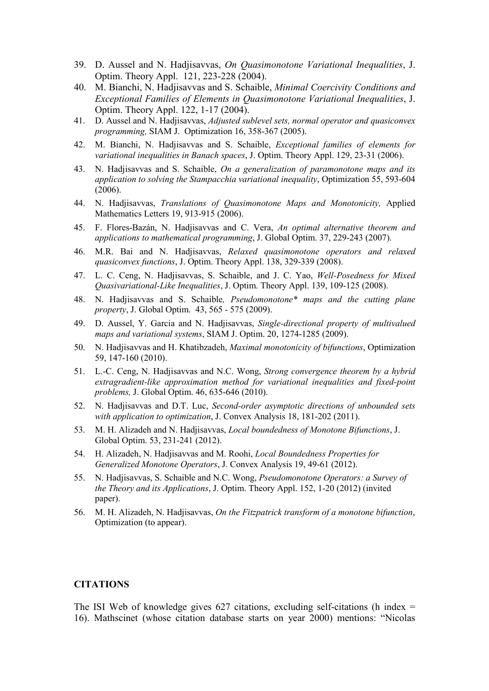- 39. D. Aussel and N. Hadjisavvas, *On Quasimonotone Variational Inequalities*, J. Optim. Theory Appl. 121, 223-228 (2004).
- 40. M. Bianchi, N. Hadjisavvas and S. Schaible, *Minimal Coercivity Conditions and Exceptional Families of Elements in Quasimonotone Variational Inequalities*, J. Optim. Theory Appl. 122, 1-17 (2004).
- 41. D. Aussel and N. Hadjisavvas, *Adjusted sublevel sets, normal operator and quasiconvex programming,* SIAM J. Optimization 16, 358-367 (2005).
- 42. M. Bianchi, N. Hadjisavvas and S. Schaible, *Exceptional families of elements for variational inequalities in Banach spaces*, J. Optim. Theory Appl. 129, 23-31 (2006).
- 43. N. Hadjisavvas and S. Schaible, *On a generalization of paramonotone maps and its application to solving the Stampacchia variational inequality*, Optimization 55, 593-604 (2006).
- 44. N. Hadjisavvas, *Translations of Quasimonotone Maps and Monotonicity,* Applied Mathematics Letters 19, 913-915 (2006).
- 45. F. Flores-Bazán, N. Hadjisavvas and C. Vera, *An optimal alternative theorem and applications to mathematical programming*, J. Global Optim. 37, 229-243 (2007).
- 46. M.R. Bai and N. Hadjisavvas, *Relaxed quasimonotone operators and relaxed quasiconvex functions*, J. Optim. Theory Appl. 138, 329-339 (2008).
- 47. L. C. Ceng, N. Hadjisavvas, S. Schaible, and J. C. Yao, *Well-Posedness for Mixed Quasivariational-Like Inequalities*, J. Optim. Theory Appl. 139, 109-125 (2008).
- 48. N. Hadjisavvas and S. Schaible*, Pseudomonotone\* maps and the cutting plane property*, J. Global Optim. 43, 565 - 575 (2009).
- 49. D. Aussel, Y. Garcia and N. Hadjisavvas, *Single-directional property of multivalued maps and variational systems*, SIAM J. Optim. 20, 1274-1285 (2009).
- 50. N. Hadjisavvas and H. Khatibzadeh, *Maximal monotonicity of bifunctions*, Optimization 59, 147-160 (2010).
- 51. L.-C. Ceng, N. Hadjisavvas and N.C. Wong, *Strong convergence theorem by a hybrid extragradient-like approximation method for variational inequalities and fixed-point problems,* J. Global Optim. 46, 635-646 (2010).
- 52. N. Hadjisavvas and D.T. Luc, *Second-order asymptotic directions of unbounded sets with application to optimization*, J. Convex Analysis 18, 181-202 (2011).
- 53. M. H. Alizadeh and N. Hadjisavvas, *Local boundedness of Monotone Bifunctions*, J. Global Optim. 53, 231-241 (2012).
- 54. H. Alizadeh, N. Hadjisavvas and M. Roohi, *Local Boundedness Properties for Generalized Monotone Operators*, J. Convex Analysis 19, 49-61 (2012).
- 55. N. Hadjisavvas, S. Schaible and N.C. Wong, *Pseudomonotone Operators: a Survey of the Theory and its Applications*, J. Optim. Theory Appl. 152, 1-20 (2012) (invited paper).
- 56. M. H. Alizadeh, N. Hadjisavvas, *On the Fitzpatrick transform of a monotone bifunction*, Optimization (to appear).

#### **CITATIONS**

The ISI Web of knowledge gives 627 citations, excluding self-citations (h index  $=$ 16). Mathscinet (whose citation database starts on year 2000) mentions: "Nicolas